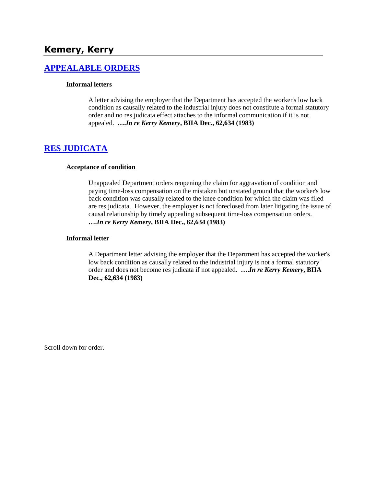# **Kemery, Kerry**

## **[APPEALABLE ORDERS](http://www.biia.wa.gov/SDSubjectIndex.html#APPEALABLE_ORDERS)**

#### **Informal letters**

A letter advising the employer that the Department has accepted the worker's low back condition as causally related to the industrial injury does not constitute a formal statutory order and no res judicata effect attaches to the informal communication if it is not appealed. **….***In re Kerry Kemery***, BIIA Dec., 62,634 (1983)** 

### **[RES JUDICATA](http://www.biia.wa.gov/SDSubjectIndex.html#RES_JUDICATA)**

#### **Acceptance of condition**

Unappealed Department orders reopening the claim for aggravation of condition and paying time-loss compensation on the mistaken but unstated ground that the worker's low back condition was causally related to the knee condition for which the claim was filed are res judicata. However, the employer is not foreclosed from later litigating the issue of causal relationship by timely appealing subsequent time-loss compensation orders. **….***In re Kerry Kemery***, BIIA Dec., 62,634 (1983)** 

#### **Informal letter**

A Department letter advising the employer that the Department has accepted the worker's low back condition as causally related to the industrial injury is not a formal statutory order and does not become res judicata if not appealed. **….***In re Kerry Kemery***, BIIA Dec., 62,634 (1983)**

Scroll down for order.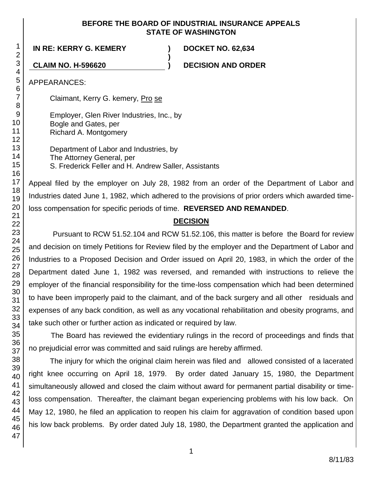#### **BEFORE THE BOARD OF INDUSTRIAL INSURANCE APPEALS STATE OF WASHINGTON**

**)**

**IN RE: KERRY G. KEMERY ) DOCKET NO. 62,634**

**CLAIM NO. H-596620 ) DECISION AND ORDER**

APPEARANCES:

Claimant, Kerry G. kemery, Pro se

Employer, Glen River Industries, Inc., by Bogle and Gates, per Richard A. Montgomery

Department of Labor and Industries, by The Attorney General, per S. Frederick Feller and H. Andrew Saller, Assistants

Appeal filed by the employer on July 28, 1982 from an order of the Department of Labor and Industries dated June 1, 1982, which adhered to the provisions of prior orders which awarded timeloss compensation for specific periods of time. **REVERSED AND REMANDED**.

# **DECISION**

Pursuant to RCW 51.52.104 and RCW 51.52.106, this matter is before the Board for review and decision on timely Petitions for Review filed by the employer and the Department of Labor and Industries to a Proposed Decision and Order issued on April 20, 1983, in which the order of the Department dated June 1, 1982 was reversed, and remanded with instructions to relieve the employer of the financial responsibility for the time-loss compensation which had been determined to have been improperly paid to the claimant, and of the back surgery and all other residuals and expenses of any back condition, as well as any vocational rehabilitation and obesity programs, and take such other or further action as indicated or required by law.

The Board has reviewed the evidentiary rulings in the record of proceedings and finds that no prejudicial error was committed and said rulings are hereby affirmed.

The injury for which the original claim herein was filed and allowed consisted of a lacerated right knee occurring on April 18, 1979. By order dated January 15, 1980, the Department simultaneously allowed and closed the claim without award for permanent partial disability or timeloss compensation. Thereafter, the claimant began experiencing problems with his low back. On May 12, 1980, he filed an application to reopen his claim for aggravation of condition based upon his low back problems. By order dated July 18, 1980, the Department granted the application and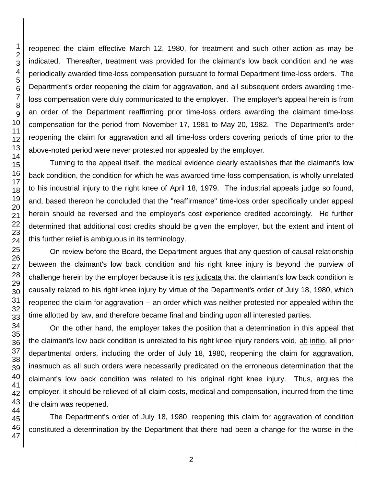reopened the claim effective March 12, 1980, for treatment and such other action as may be indicated. Thereafter, treatment was provided for the claimant's low back condition and he was periodically awarded time-loss compensation pursuant to formal Department time-loss orders. The Department's order reopening the claim for aggravation, and all subsequent orders awarding timeloss compensation were duly communicated to the employer. The employer's appeal herein is from an order of the Department reaffirming prior time-loss orders awarding the claimant time-loss compensation for the period from November 17, 1981 to May 20, 1982. The Department's order reopening the claim for aggravation and all time-loss orders covering periods of time prior to the above-noted period were never protested nor appealed by the employer.

Turning to the appeal itself, the medical evidence clearly establishes that the claimant's low back condition, the condition for which he was awarded time-loss compensation, is wholly unrelated to his industrial injury to the right knee of April 18, 1979. The industrial appeals judge so found, and, based thereon he concluded that the "reaffirmance" time-loss order specifically under appeal herein should be reversed and the employer's cost experience credited accordingly. He further determined that additional cost credits should be given the employer, but the extent and intent of this further relief is ambiguous in its terminology.

On review before the Board, the Department argues that any question of causal relationship between the claimant's low back condition and his right knee injury is beyond the purview of challenge herein by the employer because it is res judicata that the claimant's low back condition is causally related to his right knee injury by virtue of the Department's order of July 18, 1980, which reopened the claim for aggravation -- an order which was neither protested nor appealed within the time allotted by law, and therefore became final and binding upon all interested parties.

On the other hand, the employer takes the position that a determination in this appeal that the claimant's low back condition is unrelated to his right knee injury renders void, ab initio, all prior departmental orders, including the order of July 18, 1980, reopening the claim for aggravation, inasmuch as all such orders were necessarily predicated on the erroneous determination that the claimant's low back condition was related to his original right knee injury. Thus, argues the employer, it should be relieved of all claim costs, medical and compensation, incurred from the time the claim was reopened.

The Department's order of July 18, 1980, reopening this claim for aggravation of condition constituted a determination by the Department that there had been a change for the worse in the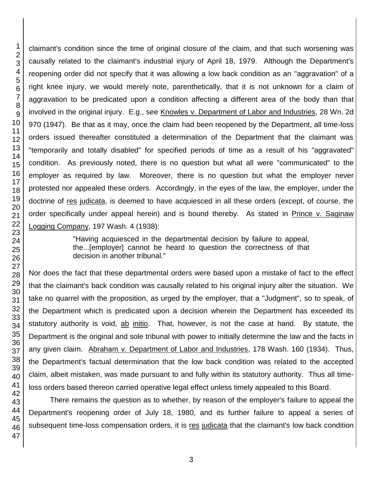claimant's condition since the time of original closure of the claim, and that such worsening was causally related to the claimant's industrial injury of April 18, 1979. Although the Department's reopening order did not specify that it was allowing a low back condition as an "aggravation" of a right knee injury, we would merely note, parenthetically, that it is not unknown for a claim of aggravation to be predicated upon a condition affecting a different area of the body than that involved in the original injury. E.g., see Knowles v. Department of Labor and Industries, 28 Wn. 2d 970 (1947). Be that as it may, once the claim had been reopened by the Department, all time-loss orders issued thereafter constituted a determination of the Department that the claimant was "temporarily and totally disabled" for specified periods of time as a result of his "aggravated" condition. As previously noted, there is no question but what all were "communicated" to the employer as required by law. Moreover, there is no question but what the employer never protested nor appealed these orders. Accordingly, in the eyes of the law, the employer, under the doctrine of res judicata, is deemed to have acquiesced in all these orders (except, of course, the order specifically under appeal herein) and is bound thereby. As stated in Prince v. Saginaw Logging Company, 197 Wash. 4 (1938):

> "Having acquiesced in the departmental decision by failure to appeal, the...[employer] cannot be heard to question the correctness of that decision in another tribunal."

Nor does the fact that these departmental orders were based upon a mistake of fact to the effect that the claimant's back condition was causally related to his original injury alter the situation. We take no quarrel with the proposition, as urged by the employer, that a "Judgment", so to speak, of the Department which is predicated upon a decision wherein the Department has exceeded its statutory authority is void, ab initio. That, however, is not the case at hand. By statute, the Department is the original and sole tribunal with power to initially determine the law and the facts in any given claim. Abraham v. Department of Labor and Industries, 178 Wash. 160 (1934). Thus, the Department's factual determination that the low back condition was related to the accepted claim, albeit mistaken, was made pursuant to and fully within its statutory authority. Thus all timeloss orders based thereon carried operative legal effect unless timely appealed to this Board.

There remains the question as to whether, by reason of the employer's failure to appeal the Department's reopening order of July 18, 1980, and its further failure to appeal a series of subsequent time-loss compensation orders, it is res judicata that the claimant's low back condition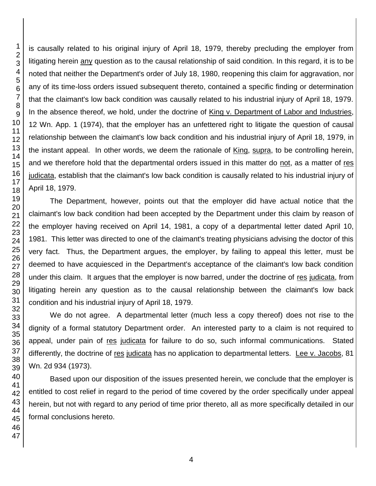is causally related to his original injury of April 18, 1979, thereby precluding the employer from litigating herein any question as to the causal relationship of said condition. In this regard, it is to be noted that neither the Department's order of July 18, 1980, reopening this claim for aggravation, nor any of its time-loss orders issued subsequent thereto, contained a specific finding or determination that the claimant's low back condition was causally related to his industrial injury of April 18, 1979. In the absence thereof, we hold, under the doctrine of King v. Department of Labor and Industries, 12 Wn. App. 1 (1974), that the employer has an unfettered right to litigate the question of causal relationship between the claimant's low back condition and his industrial injury of April 18, 1979, in the instant appeal. In other words, we deem the rationale of King, supra, to be controlling herein, and we therefore hold that the departmental orders issued in this matter do not, as a matter of res judicata, establish that the claimant's low back condition is causally related to his industrial injury of April 18, 1979.

The Department, however, points out that the employer did have actual notice that the claimant's low back condition had been accepted by the Department under this claim by reason of the employer having received on April 14, 1981, a copy of a departmental letter dated April 10, 1981. This letter was directed to one of the claimant's treating physicians advising the doctor of this very fact. Thus, the Department argues, the employer, by failing to appeal this letter, must be deemed to have acquiesced in the Department's acceptance of the claimant's low back condition under this claim. It argues that the employer is now barred, under the doctrine of res judicata, from litigating herein any question as to the causal relationship between the claimant's low back condition and his industrial injury of April 18, 1979.

We do not agree. A departmental letter (much less a copy thereof) does not rise to the dignity of a formal statutory Department order. An interested party to a claim is not required to appeal, under pain of res judicata for failure to do so, such informal communications. Stated differently, the doctrine of res judicata has no application to departmental letters. Lee v. Jacobs, 81 Wn. 2d 934 (1973).

Based upon our disposition of the issues presented herein, we conclude that the employer is entitled to cost relief in regard to the period of time covered by the order specifically under appeal herein, but not with regard to any period of time prior thereto, all as more specifically detailed in our formal conclusions hereto.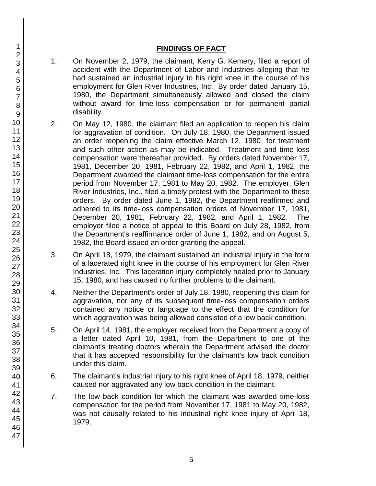## **FINDINGS OF FACT**

- 1. On November 2, 1979, the claimant, Kerry G. Kemery, filed a report of accident with the Department of Labor and Industries alleging that he had sustained an industrial injury to his right knee in the course of his employment for Glen River Industries, Inc. By order dated January 15, 1980, the Department simultaneously allowed and closed the claim without award for time-loss compensation or for permanent partial disability.
- 2. On May 12, 1980, the claimant filed an application to reopen his claim for aggravation of condition. On July 18, 1980, the Department issued an order reopening the claim effective March 12, 1980, for treatment and such other action as may be indicated. Treatment and time-loss compensation were thereafter provided. By orders dated November 17, 1981, December 20, 1981, February 22, 1982, and April 1, 1982, the Department awarded the claimant time-loss compensation for the entire period from November 17, 1981 to May 20, 1982. The employer, Glen River Industries, Inc., filed a timely protest with the Department to these orders. By order dated June 1, 1982, the Department reaffirmed and adhered to its time-loss compensation orders of November 17, 1981, December 20, 1981, February 22, 1982, and April 1, 1982. The employer filed a notice of appeal to this Board on July 28, 1982, from the Department's reaffirmance order of June 1, 1982, and on August 5, 1982, the Board issued an order granting the appeal.
- 3. On April 18, 1979, the claimant sustained an industrial injury in the form of a lacerated right knee in the course of his employment for Glen River Industries, Inc. This laceration injury completely healed prior to January 15, 1980, and has caused no further problems to the claimant.
- 4. Neither the Department's order of July 18, 1980, reopening this claim for aggravation, nor any of its subsequent time-loss compensation orders contained any notice or language to the effect that the condition for which aggravation was being allowed consisted of a low back condition.
- 5. On April 14, 1981, the employer received from the Department a copy of a letter dated April 10, 1981, from the Department to one of the claimant's treating doctors wherein the Department advised the doctor that it has accepted responsibility for the claimant's low back condition under this claim.
- 6. The claimant's industrial injury to his right knee of April 18, 1979, neither caused nor aggravated any low back condition in the claimant.
- 7. The low back condition for which the claimant was awarded time-loss compensation for the period from November 17, 1981 to May 20, 1982, was not causally related to his industrial right knee injury of April 18, 1979.